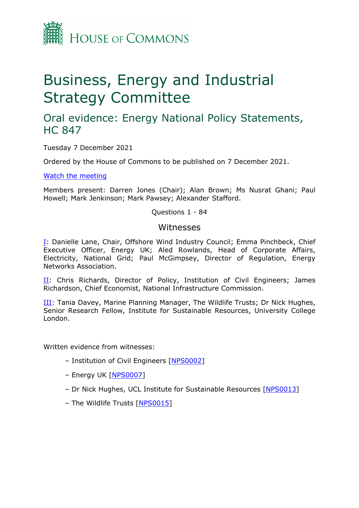

# Business, Energy and Industrial Strategy Committee

## Oral evidence: Energy National Policy Statements, HC 847

Tuesday 7 December 2021

Ordered by the House of Commons to be published on 7 December 2021.

[Watch](https://parliamentlive.tv/event/index/567745c4-3c98-494a-9aaf-21ef96a7434a) [the](https://parliamentlive.tv/event/index/567745c4-3c98-494a-9aaf-21ef96a7434a) [meeting](https://parliamentlive.tv/event/index/567745c4-3c98-494a-9aaf-21ef96a7434a)

Members present: Darren Jones (Chair); Alan Brown; Ms Nusrat Ghani; Paul Howell; Mark Jenkinson; Mark Pawsey; Alexander Stafford.

Questions 1 - 84

#### Witnesses

[I:](#page-1-0) Danielle Lane, Chair, Offshore Wind Industry Council; Emma Pinchbeck, Chief Executive Officer, Energy UK; Aled Rowlands, Head of Corporate Affairs, Electricity, National Grid; Paul McGimpsey, Director of Regulation, Energy Networks Association.

[II](#page-19-0): Chris Richards, Director of Policy, Institution of Civil Engineers; James Richardson, Chief Economist, National Infrastructure Commission.

[III:](#page-30-0) Tania Davey, Marine Planning Manager, The Wildlife Trusts; Dr Nick Hughes, Senior Research Fellow, Institute for Sustainable Resources, University College London.

Written evidence from witnesses:

- Institution of Civil Engineers [\[NPS0002\]](https://committees.parliament.uk/writtenevidence/41155/html/)
- Energy UK [[NPS0007](https://committees.parliament.uk/writtenevidence/41169/html/)]
- Dr Nick Hughes, UCL Institute for Sustainable Resources [\[NPS0013\]](https://committees.parliament.uk/writtenevidence/41179/html/)
- The Wildlife Trusts [\[NPS0015\]](https://committees.parliament.uk/writtenevidence/41226/html/)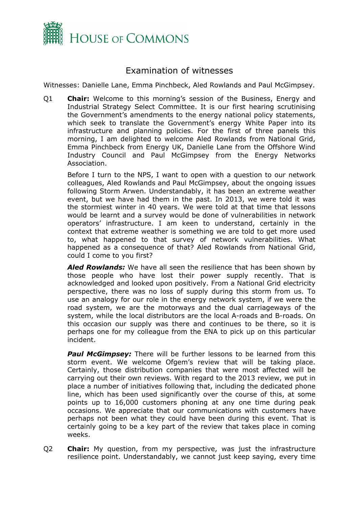

### <span id="page-1-0"></span>Examination of witnesses

Witnesses: Danielle Lane, Emma Pinchbeck, Aled Rowlands and Paul McGimpsey.

Q1 **Chair:** Welcome to this morning's session of the Business, Energy and Industrial Strategy Select Committee. It is our first hearing scrutinising the Government's amendments to the energy national policy statements, which seek to translate the Government's energy White Paper into its infrastructure and planning policies. For the first of three panels this morning, I am delighted to welcome Aled Rowlands from National Grid, Emma Pinchbeck from Energy UK, Danielle Lane from the Offshore Wind Industry Council and Paul McGimpsey from the Energy Networks Association.

Before I turn to the NPS, I want to open with a question to our network colleagues, Aled Rowlands and Paul McGimpsey, about the ongoing issues following Storm Arwen. Understandably, it has been an extreme weather event, but we have had them in the past. In 2013, we were told it was the stormiest winter in 40 years. We were told at that time that lessons would be learnt and a survey would be done of vulnerabilities in network operators' infrastructure. I am keen to understand, certainly in the context that extreme weather is something we are told to get more used to, what happened to that survey of network vulnerabilities. What happened as a consequence of that? Aled Rowlands from National Grid, could I come to you first?

*Aled Rowlands:* We have all seen the resilience that has been shown by those people who have lost their power supply recently. That is acknowledged and looked upon positively. From a National Grid electricity perspective, there was no loss of supply during this storm from us. To use an analogy for our role in the energy network system, if we were the road system, we are the motorways and the dual carriageways of the system, while the local distributors are the local A-roads and B-roads. On this occasion our supply was there and continues to be there, so it is perhaps one for my colleague from the ENA to pick up on this particular incident.

*Paul McGimpsey:* There will be further lessons to be learned from this storm event. We welcome Ofgem's review that will be taking place. Certainly, those distribution companies that were most affected will be carrying out their own reviews. With regard to the 2013 review, we put in place a number of initiatives following that, including the dedicated phone line, which has been used significantly over the course of this, at some points up to 16,000 customers phoning at any one time during peak occasions. We appreciate that our communications with customers have perhaps not been what they could have been during this event. That is certainly going to be a key part of the review that takes place in coming weeks.

Q2 **Chair:** My question, from my perspective, was just the infrastructure resilience point. Understandably, we cannot just keep saying, every time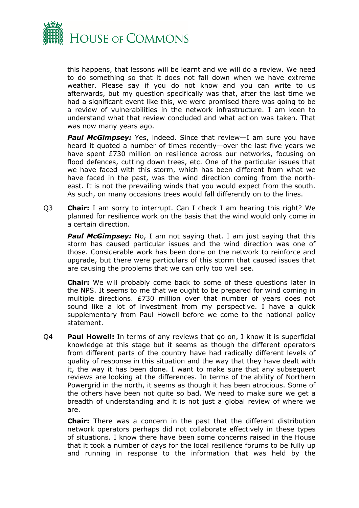

this happens, that lessons will be learnt and we will do a review. We need to do something so that it does not fall down when we have extreme weather. Please say if you do not know and you can write to us afterwards, but my question specifically was that, after the last time we had a significant event like this, we were promised there was going to be a review of vulnerabilities in the network infrastructure. I am keen to understand what that review concluded and what action was taken. That was now many years ago.

**Paul McGimpsey:** Yes, indeed. Since that review-I am sure you have heard it quoted a number of times recently—over the last five years we have spent £730 million on resilience across our networks, focusing on flood defences, cutting down trees, etc. One of the particular issues that we have faced with this storm, which has been different from what we have faced in the past, was the wind direction coming from the northeast. It is not the prevailing winds that you would expect from the south. As such, on many occasions trees would fall differently on to the lines.

Q3 **Chair:** I am sorry to interrupt. Can I check I am hearing this right? We planned for resilience work on the basis that the wind would only come in a certain direction.

**Paul McGimpsey:** No, I am not saying that. I am just saying that this storm has caused particular issues and the wind direction was one of those. Considerable work has been done on the network to reinforce and upgrade, but there were particulars of this storm that caused issues that are causing the problems that we can only too well see.

**Chair:** We will probably come back to some of these questions later in the NPS. It seems to me that we ought to be prepared for wind coming in multiple directions. £730 million over that number of years does not sound like a lot of investment from my perspective. I have a quick supplementary from Paul Howell before we come to the national policy statement.

Q4 **Paul Howell:** In terms of any reviews that go on, I know it is superficial knowledge at this stage but it seems as though the different operators from different parts of the country have had radically different levels of quality of response in this situation and the way that they have dealt with it, the way it has been done. I want to make sure that any subsequent reviews are looking at the differences. In terms of the ability of Northern Powergrid in the north, it seems as though it has been atrocious. Some of the others have been not quite so bad. We need to make sure we get a breadth of understanding and it is not just a global review of where we are.

**Chair:** There was a concern in the past that the different distribution network operators perhaps did not collaborate effectively in these types of situations. I know there have been some concerns raised in the House that it took a number of days for the local resilience forums to be fully up and running in response to the information that was held by the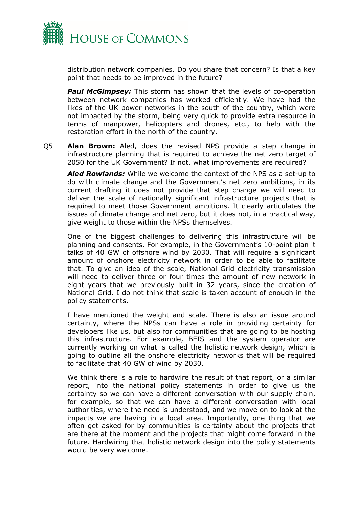

distribution network companies. Do you share that concern? Is that a key point that needs to be improved in the future?

*Paul McGimpsey:* This storm has shown that the levels of co-operation between network companies has worked efficiently. We have had the likes of the UK power networks in the south of the country, which were not impacted by the storm, being very quick to provide extra resource in terms of manpower, helicopters and drones, etc., to help with the restoration effort in the north of the country.

Q5 **Alan Brown:** Aled, does the revised NPS provide a step change in infrastructure planning that is required to achieve the net zero target of 2050 for the UK Government? If not, what improvements are required?

*Aled Rowlands:* While we welcome the context of the NPS as a set-up to do with climate change and the Government's net zero ambitions, in its current drafting it does not provide that step change we will need to deliver the scale of nationally significant infrastructure projects that is required to meet those Government ambitions. It clearly articulates the issues of climate change and net zero, but it does not, in a practical way, give weight to those within the NPSs themselves.

One of the biggest challenges to delivering this infrastructure will be planning and consents. For example, in the Government's 10-point plan it talks of 40 GW of offshore wind by 2030. That will require a significant amount of onshore electricity network in order to be able to facilitate that. To give an idea of the scale, National Grid electricity transmission will need to deliver three or four times the amount of new network in eight years that we previously built in 32 years, since the creation of National Grid. I do not think that scale is taken account of enough in the policy statements.

I have mentioned the weight and scale. There is also an issue around certainty, where the NPSs can have a role in providing certainty for developers like us, but also for communities that are going to be hosting this infrastructure. For example, BEIS and the system operator are currently working on what is called the holistic network design, which is going to outline all the onshore electricity networks that will be required to facilitate that 40 GW of wind by 2030.

We think there is a role to hardwire the result of that report, or a similar report, into the national policy statements in order to give us the certainty so we can have a different conversation with our supply chain, for example, so that we can have a different conversation with local authorities, where the need is understood, and we move on to look at the impacts we are having in a local area. Importantly, one thing that we often get asked for by communities is certainty about the projects that are there at the moment and the projects that might come forward in the future. Hardwiring that holistic network design into the policy statements would be very welcome.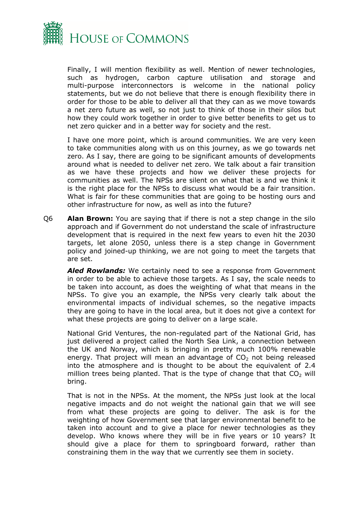

Finally, I will mention flexibility as well. Mention of newer technologies, such as hydrogen, carbon capture utilisation and storage and multi-purpose interconnectors is welcome in the national policy statements, but we do not believe that there is enough flexibility there in order for those to be able to deliver all that they can as we move towards a net zero future as well, so not just to think of those in their silos but how they could work together in order to give better benefits to get us to net zero quicker and in a better way for society and the rest.

I have one more point, which is around communities. We are very keen to take communities along with us on this journey, as we go towards net zero. As I say, there are going to be significant amounts of developments around what is needed to deliver net zero. We talk about a fair transition as we have these projects and how we deliver these projects for communities as well. The NPSs are silent on what that is and we think it is the right place for the NPSs to discuss what would be a fair transition. What is fair for these communities that are going to be hosting ours and other infrastructure for now, as well as into the future?

Q6 **Alan Brown:** You are saying that if there is not a step change in the silo approach and if Government do not understand the scale of infrastructure development that is required in the next few years to even hit the 2030 targets, let alone 2050, unless there is a step change in Government policy and joined-up thinking, we are not going to meet the targets that are set.

*Aled Rowlands:* We certainly need to see a response from Government in order to be able to achieve those targets. As I say, the scale needs to be taken into account, as does the weighting of what that means in the NPSs. To give you an example, the NPSs very clearly talk about the environmental impacts of individual schemes, so the negative impacts they are going to have in the local area, but it does not give a context for what these projects are going to deliver on a large scale.

National Grid Ventures, the non-regulated part of the National Grid, has just delivered a project called the North Sea Link, a connection between the UK and Norway, which is bringing in pretty much 100% renewable energy. That project will mean an advantage of  $CO<sub>2</sub>$  not being released into the atmosphere and is thought to be about the equivalent of 2.4 million trees being planted. That is the type of change that that  $CO<sub>2</sub>$  will bring.

That is not in the NPSs. At the moment, the NPSs just look at the local negative impacts and do not weight the national gain that we will see from what these projects are going to deliver. The ask is for the weighting of how Government see that larger environmental benefit to be taken into account and to give a place for newer technologies as they develop. Who knows where they will be in five years or 10 years? It should give a place for them to springboard forward, rather than constraining them in the way that we currently see them in society.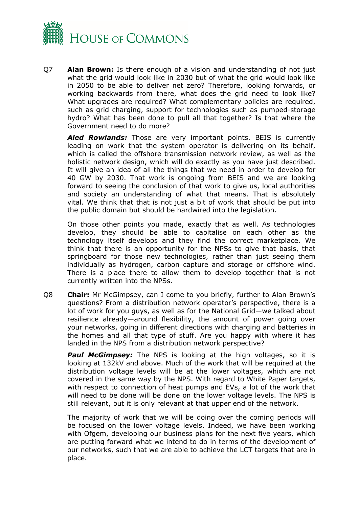

Q7 **Alan Brown:** Is there enough of a vision and understanding of not just what the grid would look like in 2030 but of what the grid would look like in 2050 to be able to deliver net zero? Therefore, looking forwards, or working backwards from there, what does the grid need to look like? What upgrades are required? What complementary policies are required, such as grid charging, support for technologies such as pumped-storage hydro? What has been done to pull all that together? Is that where the Government need to do more?

*Aled Rowlands:* Those are very important points. BEIS is currently leading on work that the system operator is delivering on its behalf, which is called the offshore transmission network review, as well as the holistic network design, which will do exactly as you have just described. It will give an idea of all the things that we need in order to develop for 40 GW by 2030. That work is ongoing from BEIS and we are looking forward to seeing the conclusion of that work to give us, local authorities and society an understanding of what that means. That is absolutely vital. We think that that is not just a bit of work that should be put into the public domain but should be hardwired into the legislation.

On those other points you made, exactly that as well. As technologies develop, they should be able to capitalise on each other as the technology itself develops and they find the correct marketplace. We think that there is an opportunity for the NPSs to give that basis, that springboard for those new technologies, rather than just seeing them individually as hydrogen, carbon capture and storage or offshore wind. There is a place there to allow them to develop together that is not currently written into the NPSs.

Q8 **Chair:** Mr McGimpsey, can I come to you briefly, further to Alan Brown's questions? From a distribution network operator's perspective, there is a lot of work for you guys, as well as for the National Grid—we talked about resilience already—around flexibility, the amount of power going over your networks, going in different directions with charging and batteries in the homes and all that type of stuff. Are you happy with where it has landed in the NPS from a distribution network perspective?

*Paul McGimpsey:* The NPS is looking at the high voltages, so it is looking at 132kV and above. Much of the work that will be required at the distribution voltage levels will be at the lower voltages, which are not covered in the same way by the NPS. With regard to White Paper targets, with respect to connection of heat pumps and EVs, a lot of the work that will need to be done will be done on the lower voltage levels. The NPS is still relevant, but it is only relevant at that upper end of the network.

The majority of work that we will be doing over the coming periods will be focused on the lower voltage levels. Indeed, we have been working with Ofgem, developing our business plans for the next five years, which are putting forward what we intend to do in terms of the development of our networks, such that we are able to achieve the LCT targets that are in place.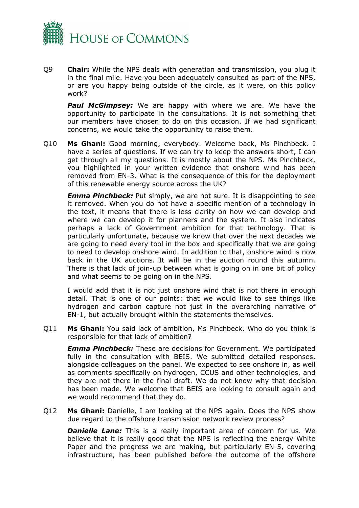

Q9 **Chair:** While the NPS deals with generation and transmission, you plug it in the final mile. Have you been adequately consulted as part of the NPS, or are you happy being outside of the circle, as it were, on this policy work?

**Paul McGimpsey:** We are happy with where we are. We have the opportunity to participate in the consultations. It is not something that our members have chosen to do on this occasion. If we had significant concerns, we would take the opportunity to raise them.

Q10 **Ms Ghani:** Good morning, everybody. Welcome back, Ms Pinchbeck. I have a series of questions. If we can try to keep the answers short, I can get through all my questions. It is mostly about the NPS. Ms Pinchbeck, you highlighted in your written evidence that onshore wind has been removed from EN-3. What is the consequence of this for the deployment of this renewable energy source across the UK?

*Emma Pinchbeck:* Put simply, we are not sure. It is disappointing to see it removed. When you do not have a specific mention of a technology in the text, it means that there is less clarity on how we can develop and where we can develop it for planners and the system. It also indicates perhaps a lack of Government ambition for that technology. That is particularly unfortunate, because we know that over the next decades we are going to need every tool in the box and specifically that we are going to need to develop onshore wind. In addition to that, onshore wind is now back in the UK auctions. It will be in the auction round this autumn. There is that lack of join-up between what is going on in one bit of policy and what seems to be going on in the NPS.

I would add that it is not just onshore wind that is not there in enough detail. That is one of our points: that we would like to see things like hydrogen and carbon capture not just in the overarching narrative of EN-1, but actually brought within the statements themselves.

Q11 **Ms Ghani:** You said lack of ambition, Ms Pinchbeck. Who do you think is responsible for that lack of ambition?

*Emma Pinchbeck:* These are decisions for Government. We participated fully in the consultation with BEIS. We submitted detailed responses, alongside colleagues on the panel. We expected to see onshore in, as well as comments specifically on hydrogen, CCUS and other technologies, and they are not there in the final draft. We do not know why that decision has been made. We welcome that BEIS are looking to consult again and we would recommend that they do.

Q12 **Ms Ghani:** Danielle, I am looking at the NPS again. Does the NPS show due regard to the offshore transmission network review process?

**Danielle Lane:** This is a really important area of concern for us. We believe that it is really good that the NPS is reflecting the energy White Paper and the progress we are making, but particularly EN-5, covering infrastructure, has been published before the outcome of the offshore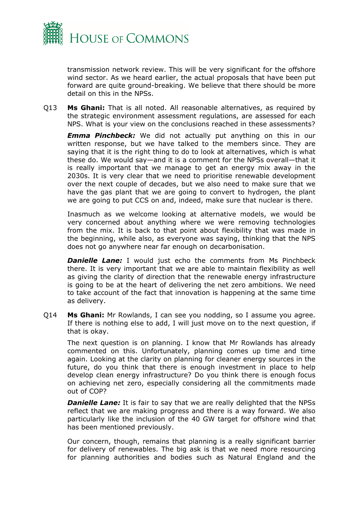

transmission network review. This will be very significant for the offshore wind sector. As we heard earlier, the actual proposals that have been put forward are quite ground-breaking. We believe that there should be more detail on this in the NPSs.

Q13 **Ms Ghani:** That is all noted. All reasonable alternatives, as required by the strategic environment assessment regulations, are assessed for each NPS. What is your view on the conclusions reached in these assessments?

*Emma Pinchbeck:* We did not actually put anything on this in our written response, but we have talked to the members since. They are saying that it is the right thing to do to look at alternatives, which is what these do. We would say—and it is a comment for the NPSs overall—that it is really important that we manage to get an energy mix away in the 2030s. It is very clear that we need to prioritise renewable development over the next couple of decades, but we also need to make sure that we have the gas plant that we are going to convert to hydrogen, the plant we are going to put CCS on and, indeed, make sure that nuclear is there.

Inasmuch as we welcome looking at alternative models, we would be very concerned about anything where we were removing technologies from the mix. It is back to that point about flexibility that was made in the beginning, while also, as everyone was saying, thinking that the NPS does not go anywhere near far enough on decarbonisation.

**Danielle Lane:** I would just echo the comments from Ms Pinchbeck there. It is very important that we are able to maintain flexibility as well as giving the clarity of direction that the renewable energy infrastructure is going to be at the heart of delivering the net zero ambitions. We need to take account of the fact that innovation is happening at the same time as delivery.

Q14 **Ms Ghani:** Mr Rowlands, I can see you nodding, so I assume you agree. If there is nothing else to add, I will just move on to the next question, if that is okay.

The next question is on planning. I know that Mr Rowlands has already commented on this. Unfortunately, planning comes up time and time again. Looking at the clarity on planning for cleaner energy sources in the future, do you think that there is enough investment in place to help develop clean energy infrastructure? Do you think there is enough focus on achieving net zero, especially considering all the commitments made out of COP?

*Danielle Lane:* It is fair to say that we are really delighted that the NPSs reflect that we are making progress and there is a way forward. We also particularly like the inclusion of the 40 GW target for offshore wind that has been mentioned previously.

Our concern, though, remains that planning is a really significant barrier for delivery of renewables. The big ask is that we need more resourcing for planning authorities and bodies such as Natural England and the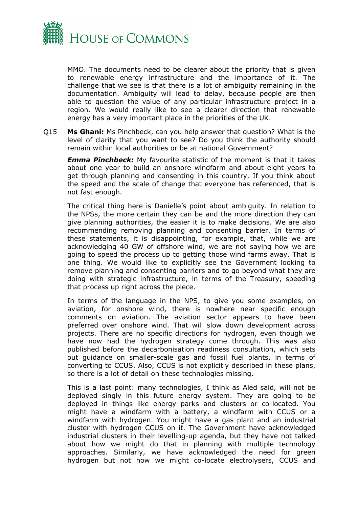

MMO. The documents need to be clearer about the priority that is given to renewable energy infrastructure and the importance of it. The challenge that we see is that there is a lot of ambiguity remaining in the documentation. Ambiguity will lead to delay, because people are then able to question the value of any particular infrastructure project in a region. We would really like to see a clearer direction that renewable energy has a very important place in the priorities of the UK.

Q15 **Ms Ghani:** Ms Pinchbeck, can you help answer that question? What is the level of clarity that you want to see? Do you think the authority should remain within local authorities or be at national Government?

*Emma Pinchbeck:* My favourite statistic of the moment is that it takes about one year to build an onshore windfarm and about eight years to get through planning and consenting in this country. If you think about the speed and the scale of change that everyone has referenced, that is not fast enough.

The critical thing here is Danielle's point about ambiguity. In relation to the NPSs, the more certain they can be and the more direction they can give planning authorities, the easier it is to make decisions. We are also recommending removing planning and consenting barrier. In terms of these statements, it is disappointing, for example, that, while we are acknowledging 40 GW of offshore wind, we are not saying how we are going to speed the process up to getting those wind farms away. That is one thing. We would like to explicitly see the Government looking to remove planning and consenting barriers and to go beyond what they are doing with strategic infrastructure, in terms of the Treasury, speeding that process up right across the piece.

In terms of the language in the NPS, to give you some examples, on aviation, for onshore wind, there is nowhere near specific enough comments on aviation. The aviation sector appears to have been preferred over onshore wind. That will slow down development across projects. There are no specific directions for hydrogen, even though we have now had the hydrogen strategy come through. This was also published before the decarbonisation readiness consultation, which sets out guidance on smaller-scale gas and fossil fuel plants, in terms of converting to CCUS. Also, CCUS is not explicitly described in these plans, so there is a lot of detail on these technologies missing.

This is a last point: many technologies, I think as Aled said, will not be deployed singly in this future energy system. They are going to be deployed in things like energy parks and clusters or co-located. You might have a windfarm with a battery, a windfarm with CCUS or a windfarm with hydrogen. You might have a gas plant and an industrial cluster with hydrogen CCUS on it. The Government have acknowledged industrial clusters in their levelling-up agenda, but they have not talked about how we might do that in planning with multiple technology approaches. Similarly, we have acknowledged the need for green hydrogen but not how we might co-locate electrolysers, CCUS and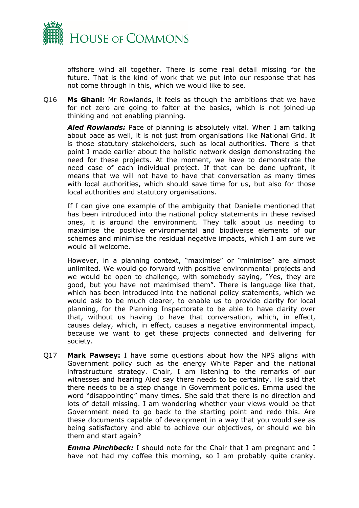

offshore wind all together. There is some real detail missing for the future. That is the kind of work that we put into our response that has not come through in this, which we would like to see.

Q16 **Ms Ghani:** Mr Rowlands, it feels as though the ambitions that we have for net zero are going to falter at the basics, which is not joined-up thinking and not enabling planning.

*Aled Rowlands:* Pace of planning is absolutely vital. When I am talking about pace as well, it is not just from organisations like National Grid. It is those statutory stakeholders, such as local authorities. There is that point I made earlier about the holistic network design demonstrating the need for these projects. At the moment, we have to demonstrate the need case of each individual project. If that can be done upfront, it means that we will not have to have that conversation as many times with local authorities, which should save time for us, but also for those local authorities and statutory organisations.

If I can give one example of the ambiguity that Danielle mentioned that has been introduced into the national policy statements in these revised ones, it is around the environment. They talk about us needing to maximise the positive environmental and biodiverse elements of our schemes and minimise the residual negative impacts, which I am sure we would all welcome.

However, in a planning context, "maximise" or "minimise" are almost unlimited. We would go forward with positive environmental projects and we would be open to challenge, with somebody saying, "Yes, they are good, but you have not maximised them". There is language like that, which has been introduced into the national policy statements, which we would ask to be much clearer, to enable us to provide clarity for local planning, for the Planning Inspectorate to be able to have clarity over that, without us having to have that conversation, which, in effect, causes delay, which, in effect, causes a negative environmental impact, because we want to get these projects connected and delivering for society.

Q17 **Mark Pawsey:** I have some questions about how the NPS aligns with Government policy such as the energy White Paper and the national infrastructure strategy. Chair, I am listening to the remarks of our witnesses and hearing Aled say there needs to be certainty. He said that there needs to be a step change in Government policies. Emma used the word "disappointing" many times. She said that there is no direction and lots of detail missing. I am wondering whether your views would be that Government need to go back to the starting point and redo this. Are these documents capable of development in a way that you would see as being satisfactory and able to achieve our objectives, or should we bin them and start again?

*Emma Pinchbeck:* I should note for the Chair that I am pregnant and I have not had my coffee this morning, so I am probably quite cranky.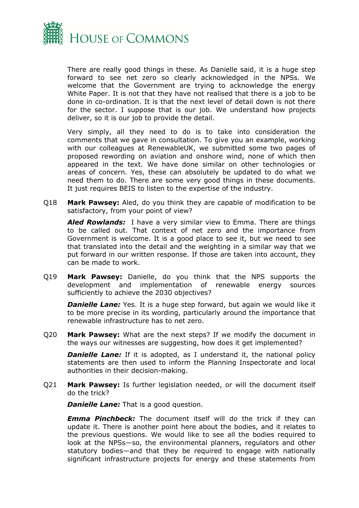

There are really good things in these. As Danielle said, it is a huge step forward to see net zero so clearly acknowledged in the NPSs. We welcome that the Government are trying to acknowledge the energy White Paper. It is not that they have not realised that there is a job to be done in co-ordination. It is that the next level of detail down is not there for the sector. I suppose that is our job. We understand how projects deliver, so it is our job to provide the detail.

Very simply, all they need to do is to take into consideration the comments that we gave in consultation. To give you an example, working with our colleagues at RenewableUK, we submitted some two pages of proposed rewording on aviation and onshore wind, none of which then appeared in the text. We have done similar on other technologies or areas of concern. Yes, these can absolutely be updated to do what we need them to do. There are some very good things in these documents. It just requires BEIS to listen to the expertise of the industry.

Q18 **Mark Pawsey:** Aled, do you think they are capable of modification to be satisfactory, from your point of view?

*Aled Rowlands:* I have a very similar view to Emma. There are things to be called out. That context of net zero and the importance from Government is welcome. It is a good place to see it, but we need to see that translated into the detail and the weighting in a similar way that we put forward in our written response. If those are taken into account, they can be made to work.

Q19 **Mark Pawsey:** Danielle, do you think that the NPS supports the development and implementation of renewable energy sources sufficiently to achieve the 2030 objectives?

**Danielle Lane:** Yes. It is a huge step forward, but again we would like it to be more precise in its wording, particularly around the importance that renewable infrastructure has to net zero.

Q20 **Mark Pawsey:** What are the next steps? If we modify the document in the ways our witnesses are suggesting, how does it get implemented?

**Danielle Lane:** If it is adopted, as I understand it, the national policy statements are then used to inform the Planning Inspectorate and local authorities in their decision-making.

Q21 **Mark Pawsey:** Is further legislation needed, or will the document itself do the trick?

*Danielle Lane:* That is a good question.

*Emma Pinchbeck:* The document itself will do the trick if they can update it. There is another point here about the bodies, and it relates to the previous questions. We would like to see all the bodies required to look at the NPSs—so, the environmental planners, regulators and other statutory bodies—and that they be required to engage with nationally significant infrastructure projects for energy and these statements from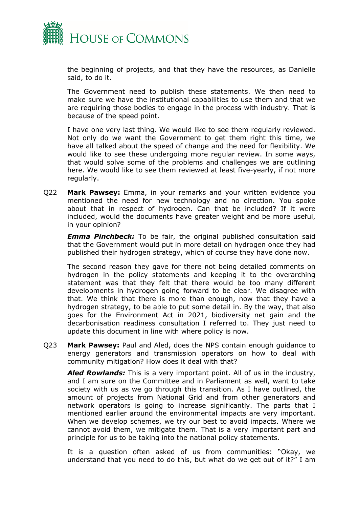

the beginning of projects, and that they have the resources, as Danielle said, to do it.

The Government need to publish these statements. We then need to make sure we have the institutional capabilities to use them and that we are requiring those bodies to engage in the process with industry. That is because of the speed point.

I have one very last thing. We would like to see them regularly reviewed. Not only do we want the Government to get them right this time, we have all talked about the speed of change and the need for flexibility. We would like to see these undergoing more regular review. In some ways, that would solve some of the problems and challenges we are outlining here. We would like to see them reviewed at least five-yearly, if not more regularly.

Q22 **Mark Pawsey:** Emma, in your remarks and your written evidence you mentioned the need for new technology and no direction. You spoke about that in respect of hydrogen. Can that be included? If it were included, would the documents have greater weight and be more useful, in your opinion?

*Emma Pinchbeck:* To be fair, the original published consultation said that the Government would put in more detail on hydrogen once they had published their hydrogen strategy, which of course they have done now.

The second reason they gave for there not being detailed comments on hydrogen in the policy statements and keeping it to the overarching statement was that they felt that there would be too many different developments in hydrogen going forward to be clear. We disagree with that. We think that there is more than enough, now that they have a hydrogen strategy, to be able to put some detail in. By the way, that also goes for the Environment Act in 2021, biodiversity net gain and the decarbonisation readiness consultation I referred to. They just need to update this document in line with where policy is now.

Q23 **Mark Pawsey:** Paul and Aled, does the NPS contain enough guidance to energy generators and transmission operators on how to deal with community mitigation? How does it deal with that?

*Aled Rowlands:* This is a very important point. All of us in the industry, and I am sure on the Committee and in Parliament as well, want to take society with us as we go through this transition. As I have outlined, the amount of projects from National Grid and from other generators and network operators is going to increase significantly. The parts that I mentioned earlier around the environmental impacts are very important. When we develop schemes, we try our best to avoid impacts. Where we cannot avoid them, we mitigate them. That is a very important part and principle for us to be taking into the national policy statements.

It is a question often asked of us from communities: "Okay, we understand that you need to do this, but what do we get out of it?" I am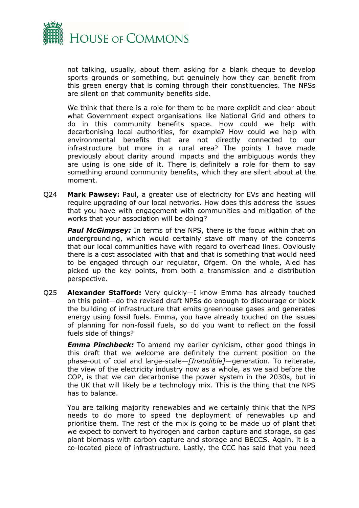

not talking, usually, about them asking for a blank cheque to develop sports grounds or something, but genuinely how they can benefit from this green energy that is coming through their constituencies. The NPSs are silent on that community benefits side.

We think that there is a role for them to be more explicit and clear about what Government expect organisations like National Grid and others to do in this community benefits space. How could we help with decarbonising local authorities, for example? How could we help with environmental benefits that are not directly connected to our infrastructure but more in a rural area? The points I have made previously about clarity around impacts and the ambiguous words they are using is one side of it. There is definitely a role for them to say something around community benefits, which they are silent about at the moment.

Q24 **Mark Pawsey:** Paul, a greater use of electricity for EVs and heating will require upgrading of our local networks. How does this address the issues that you have with engagement with communities and mitigation of the works that your association will be doing?

*Paul McGimpsey:* In terms of the NPS, there is the focus within that on undergrounding, which would certainly stave off many of the concerns that our local communities have with regard to overhead lines. Obviously there is a cost associated with that and that is something that would need to be engaged through our regulator, Ofgem. On the whole, Aled has picked up the key points, from both a transmission and a distribution perspective.

Q25 **Alexander Stafford:** Very quickly—I know Emma has already touched on this point—do the revised draft NPSs do enough to discourage or block the building of infrastructure that emits greenhouse gases and generates energy using fossil fuels. Emma, you have already touched on the issues of planning for non-fossil fuels, so do you want to reflect on the fossil fuels side of things?

*Emma Pinchbeck:* To amend my earlier cynicism, other good things in this draft that we welcome are definitely the current position on the phase-out of coal and large-scale—*[Inaudible]*—generation. To reiterate, the view of the electricity industry now as a whole, as we said before the COP, is that we can decarbonise the power system in the 2030s, but in the UK that will likely be a technology mix. This is the thing that the NPS has to balance.

You are talking majority renewables and we certainly think that the NPS needs to do more to speed the deployment of renewables up and prioritise them. The rest of the mix is going to be made up of plant that we expect to convert to hydrogen and carbon capture and storage, so gas plant biomass with carbon capture and storage and BECCS. Again, it is a co-located piece of infrastructure. Lastly, the CCC has said that you need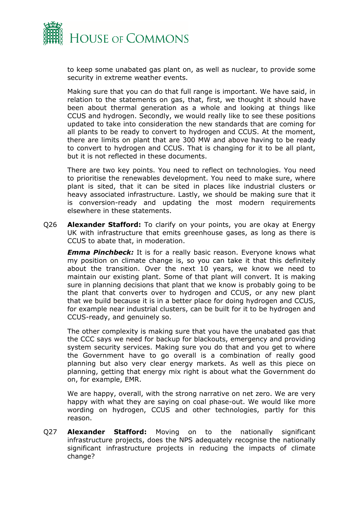

to keep some unabated gas plant on, as well as nuclear, to provide some security in extreme weather events.

Making sure that you can do that full range is important. We have said, in relation to the statements on gas, that, first, we thought it should have been about thermal generation as a whole and looking at things like CCUS and hydrogen. Secondly, we would really like to see these positions updated to take into consideration the new standards that are coming for all plants to be ready to convert to hydrogen and CCUS. At the moment, there are limits on plant that are 300 MW and above having to be ready to convert to hydrogen and CCUS. That is changing for it to be all plant, but it is not reflected in these documents.

There are two key points. You need to reflect on technologies. You need to prioritise the renewables development. You need to make sure, where plant is sited, that it can be sited in places like industrial clusters or heavy associated infrastructure. Lastly, we should be making sure that it is conversion-ready and updating the most modern requirements elsewhere in these statements.

Q26 **Alexander Stafford:** To clarify on your points, you are okay at Energy UK with infrastructure that emits greenhouse gases, as long as there is CCUS to abate that, in moderation.

*Emma Pinchbeck:* It is for a really basic reason. Everyone knows what my position on climate change is, so you can take it that this definitely about the transition. Over the next 10 years, we know we need to maintain our existing plant. Some of that plant will convert. It is making sure in planning decisions that plant that we know is probably going to be the plant that converts over to hydrogen and CCUS, or any new plant that we build because it is in a better place for doing hydrogen and CCUS, for example near industrial clusters, can be built for it to be hydrogen and CCUS-ready, and genuinely so.

The other complexity is making sure that you have the unabated gas that the CCC says we need for backup for blackouts, emergency and providing system security services. Making sure you do that and you get to where the Government have to go overall is a combination of really good planning but also very clear energy markets. As well as this piece on planning, getting that energy mix right is about what the Government do on, for example, EMR.

We are happy, overall, with the strong narrative on net zero. We are very happy with what they are saying on coal phase-out. We would like more wording on hydrogen, CCUS and other technologies, partly for this reason.

Q27 **Alexander Stafford:** Moving on to the nationally significant infrastructure projects, does the NPS adequately recognise the nationally significant infrastructure projects in reducing the impacts of climate change?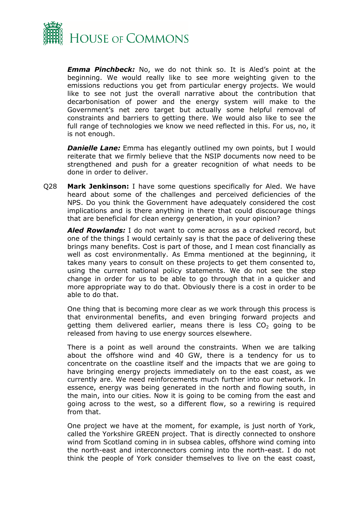

*Emma Pinchbeck:* No, we do not think so. It is Aled's point at the beginning. We would really like to see more weighting given to the emissions reductions you get from particular energy projects. We would like to see not just the overall narrative about the contribution that decarbonisation of power and the energy system will make to the Government's net zero target but actually some helpful removal of constraints and barriers to getting there. We would also like to see the full range of technologies we know we need reflected in this. For us, no, it is not enough.

**Danielle Lane:** Emma has elegantly outlined my own points, but I would reiterate that we firmly believe that the NSIP documents now need to be strengthened and push for a greater recognition of what needs to be done in order to deliver.

Q28 **Mark Jenkinson:** I have some questions specifically for Aled. We have heard about some of the challenges and perceived deficiencies of the NPS. Do you think the Government have adequately considered the cost implications and is there anything in there that could discourage things that are beneficial for clean energy generation, in your opinion?

*Aled Rowlands:* I do not want to come across as a cracked record, but one of the things I would certainly say is that the pace of delivering these brings many benefits. Cost is part of those, and I mean cost financially as well as cost environmentally. As Emma mentioned at the beginning, it takes many years to consult on these projects to get them consented to, using the current national policy statements. We do not see the step change in order for us to be able to go through that in a quicker and more appropriate way to do that. Obviously there is a cost in order to be able to do that.

One thing that is becoming more clear as we work through this process is that environmental benefits, and even bringing forward projects and getting them delivered earlier, means there is less  $CO<sub>2</sub>$  going to be released from having to use energy sources elsewhere.

There is a point as well around the constraints. When we are talking about the offshore wind and 40 GW, there is a tendency for us to concentrate on the coastline itself and the impacts that we are going to have bringing energy projects immediately on to the east coast, as we currently are. We need reinforcements much further into our network. In essence, energy was being generated in the north and flowing south, in the main, into our cities. Now it is going to be coming from the east and going across to the west, so a different flow, so a rewiring is required from that.

One project we have at the moment, for example, is just north of York, called the Yorkshire GREEN project. That is directly connected to onshore wind from Scotland coming in in subsea cables, offshore wind coming into the north-east and interconnectors coming into the north-east. I do not think the people of York consider themselves to live on the east coast,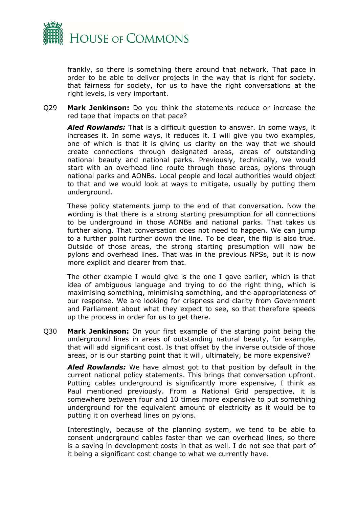

frankly, so there is something there around that network. That pace in order to be able to deliver projects in the way that is right for society, that fairness for society, for us to have the right conversations at the right levels, is very important.

Q29 **Mark Jenkinson:** Do you think the statements reduce or increase the red tape that impacts on that pace?

*Aled Rowlands:* That is a difficult question to answer. In some ways, it increases it. In some ways, it reduces it. I will give you two examples, one of which is that it is giving us clarity on the way that we should create connections through designated areas, areas of outstanding national beauty and national parks. Previously, technically, we would start with an overhead line route through those areas, pylons through national parks and AONBs. Local people and local authorities would object to that and we would look at ways to mitigate, usually by putting them underground.

These policy statements jump to the end of that conversation. Now the wording is that there is a strong starting presumption for all connections to be underground in those AONBs and national parks. That takes us further along. That conversation does not need to happen. We can jump to a further point further down the line. To be clear, the flip is also true. Outside of those areas, the strong starting presumption will now be pylons and overhead lines. That was in the previous NPSs, but it is now more explicit and clearer from that.

The other example I would give is the one I gave earlier, which is that idea of ambiguous language and trying to do the right thing, which is maximising something, minimising something, and the appropriateness of our response. We are looking for crispness and clarity from Government and Parliament about what they expect to see, so that therefore speeds up the process in order for us to get there.

Q30 **Mark Jenkinson:** On your first example of the starting point being the underground lines in areas of outstanding natural beauty, for example, that will add significant cost. Is that offset by the inverse outside of those areas, or is our starting point that it will, ultimately, be more expensive?

*Aled Rowlands:* We have almost got to that position by default in the current national policy statements. This brings that conversation upfront. Putting cables underground is significantly more expensive, I think as Paul mentioned previously. From a National Grid perspective, it is somewhere between four and 10 times more expensive to put something underground for the equivalent amount of electricity as it would be to putting it on overhead lines on pylons.

Interestingly, because of the planning system, we tend to be able to consent underground cables faster than we can overhead lines, so there is a saving in development costs in that as well. I do not see that part of it being a significant cost change to what we currently have.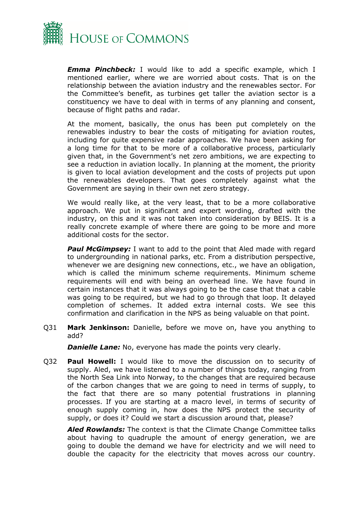

*Emma Pinchbeck:* I would like to add a specific example, which I mentioned earlier, where we are worried about costs. That is on the relationship between the aviation industry and the renewables sector. For the Committee's benefit, as turbines get taller the aviation sector is a constituency we have to deal with in terms of any planning and consent, because of flight paths and radar.

At the moment, basically, the onus has been put completely on the renewables industry to bear the costs of mitigating for aviation routes, including for quite expensive radar approaches. We have been asking for a long time for that to be more of a collaborative process, particularly given that, in the Government's net zero ambitions, we are expecting to see a reduction in aviation locally. In planning at the moment, the priority is given to local aviation development and the costs of projects put upon the renewables developers. That goes completely against what the Government are saying in their own net zero strategy.

We would really like, at the very least, that to be a more collaborative approach. We put in significant and expert wording, drafted with the industry, on this and it was not taken into consideration by BEIS. It is a really concrete example of where there are going to be more and more additional costs for the sector.

*Paul McGimpsey:* I want to add to the point that Aled made with regard to undergrounding in national parks, etc. From a distribution perspective, whenever we are designing new connections, etc., we have an obligation, which is called the minimum scheme requirements. Minimum scheme requirements will end with being an overhead line. We have found in certain instances that it was always going to be the case that that a cable was going to be required, but we had to go through that loop. It delayed completion of schemes. It added extra internal costs. We see this confirmation and clarification in the NPS as being valuable on that point.

Q31 **Mark Jenkinson:** Danielle, before we move on, have you anything to add?

*Danielle Lane:* No, everyone has made the points very clearly.

Q32 **Paul Howell:** I would like to move the discussion on to security of supply. Aled, we have listened to a number of things today, ranging from the North Sea Link into Norway, to the changes that are required because of the carbon changes that we are going to need in terms of supply, to the fact that there are so many potential frustrations in planning processes. If you are starting at a macro level, in terms of security of enough supply coming in, how does the NPS protect the security of supply, or does it? Could we start a discussion around that, please?

*Aled Rowlands:* The context is that the Climate Change Committee talks about having to quadruple the amount of energy generation, we are going to double the demand we have for electricity and we will need to double the capacity for the electricity that moves across our country.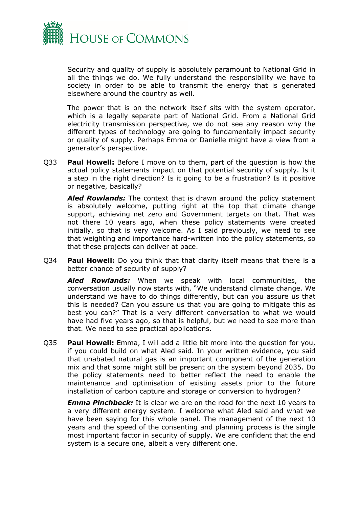

Security and quality of supply is absolutely paramount to National Grid in all the things we do. We fully understand the responsibility we have to society in order to be able to transmit the energy that is generated elsewhere around the country as well.

The power that is on the network itself sits with the system operator, which is a legally separate part of National Grid. From a National Grid electricity transmission perspective, we do not see any reason why the different types of technology are going to fundamentally impact security or quality of supply. Perhaps Emma or Danielle might have a view from a generator's perspective.

Q33 **Paul Howell:** Before I move on to them, part of the question is how the actual policy statements impact on that potential security of supply. Is it a step in the right direction? Is it going to be a frustration? Is it positive or negative, basically?

*Aled Rowlands:* The context that is drawn around the policy statement is absolutely welcome, putting right at the top that climate change support, achieving net zero and Government targets on that. That was not there 10 years ago, when these policy statements were created initially, so that is very welcome. As I said previously, we need to see that weighting and importance hard-written into the policy statements, so that these projects can deliver at pace.

Q34 **Paul Howell:** Do you think that that clarity itself means that there is a better chance of security of supply?

*Aled Rowlands:* When we speak with local communities, the conversation usually now starts with, "We understand climate change. We understand we have to do things differently, but can you assure us that this is needed? Can you assure us that you are going to mitigate this as best you can?" That is a very different conversation to what we would have had five years ago, so that is helpful, but we need to see more than that. We need to see practical applications.

Q35 **Paul Howell:** Emma, I will add a little bit more into the question for you, if you could build on what Aled said. In your written evidence, you said that unabated natural gas is an important component of the generation mix and that some might still be present on the system beyond 2035. Do the policy statements need to better reflect the need to enable the maintenance and optimisation of existing assets prior to the future installation of carbon capture and storage or conversion to hydrogen?

*Emma Pinchbeck:* It is clear we are on the road for the next 10 years to a very different energy system. I welcome what Aled said and what we have been saying for this whole panel. The management of the next 10 years and the speed of the consenting and planning process is the single most important factor in security of supply. We are confident that the end system is a secure one, albeit a very different one.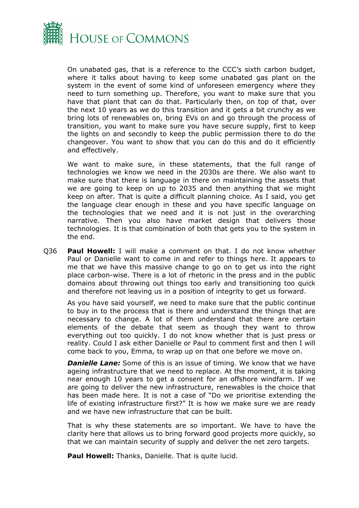

On unabated gas, that is a reference to the CCC's sixth carbon budget, where it talks about having to keep some unabated gas plant on the system in the event of some kind of unforeseen emergency where they need to turn something up. Therefore, you want to make sure that you have that plant that can do that. Particularly then, on top of that, over the next 10 years as we do this transition and it gets a bit crunchy as we bring lots of renewables on, bring EVs on and go through the process of transition, you want to make sure you have secure supply, first to keep the lights on and secondly to keep the public permission there to do the changeover. You want to show that you can do this and do it efficiently and effectively.

We want to make sure, in these statements, that the full range of technologies we know we need in the 2030s are there. We also want to make sure that there is language in there on maintaining the assets that we are going to keep on up to 2035 and then anything that we might keep on after. That is quite a difficult planning choice. As I said, you get the language clear enough in these and you have specific language on the technologies that we need and it is not just in the overarching narrative. Then you also have market design that delivers those technologies. It is that combination of both that gets you to the system in the end.

Q36 **Paul Howell:** I will make a comment on that. I do not know whether Paul or Danielle want to come in and refer to things here. It appears to me that we have this massive change to go on to get us into the right place carbon-wise. There is a lot of rhetoric in the press and in the public domains about throwing out things too early and transitioning too quick and therefore not leaving us in a position of integrity to get us forward.

As you have said yourself, we need to make sure that the public continue to buy in to the process that is there and understand the things that are necessary to change. A lot of them understand that there are certain elements of the debate that seem as though they want to throw everything out too quickly. I do not know whether that is just press or reality. Could I ask either Danielle or Paul to comment first and then I will come back to you, Emma, to wrap up on that one before we move on.

**Danielle Lane:** Some of this is an issue of timing. We know that we have ageing infrastructure that we need to replace. At the moment, it is taking near enough 10 years to get a consent for an offshore windfarm. If we are going to deliver the new infrastructure, renewables is the choice that has been made here. It is not a case of "Do we prioritise extending the life of existing infrastructure first?" It is how we make sure we are ready and we have new infrastructure that can be built.

That is why these statements are so important. We have to have the clarity here that allows us to bring forward good projects more quickly, so that we can maintain security of supply and deliver the net zero targets.

**Paul Howell:** Thanks, Danielle. That is quite lucid.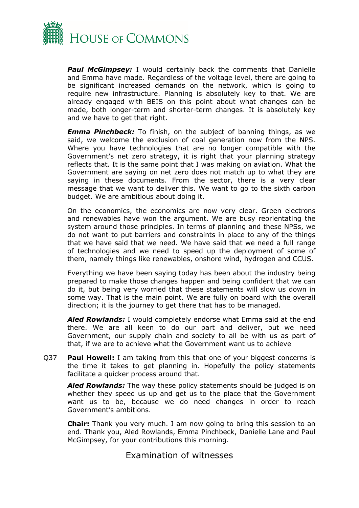

**Paul McGimpsey:** I would certainly back the comments that Danielle and Emma have made. Regardless of the voltage level, there are going to be significant increased demands on the network, which is going to require new infrastructure. Planning is absolutely key to that. We are already engaged with BEIS on this point about what changes can be made, both longer-term and shorter-term changes. It is absolutely key and we have to get that right.

*Emma Pinchbeck:* To finish, on the subject of banning things, as we said, we welcome the exclusion of coal generation now from the NPS. Where you have technologies that are no longer compatible with the Government's net zero strategy, it is right that your planning strategy reflects that. It is the same point that I was making on aviation. What the Government are saying on net zero does not match up to what they are saying in these documents. From the sector, there is a very clear message that we want to deliver this. We want to go to the sixth carbon budget. We are ambitious about doing it.

On the economics, the economics are now very clear. Green electrons and renewables have won the argument. We are busy reorientating the system around those principles. In terms of planning and these NPSs, we do not want to put barriers and constraints in place to any of the things that we have said that we need. We have said that we need a full range of technologies and we need to speed up the deployment of some of them, namely things like renewables, onshore wind, hydrogen and CCUS.

Everything we have been saying today has been about the industry being prepared to make those changes happen and being confident that we can do it, but being very worried that these statements will slow us down in some way. That is the main point. We are fully on board with the overall direction; it is the journey to get there that has to be managed.

*Aled Rowlands:* I would completely endorse what Emma said at the end there. We are all keen to do our part and deliver, but we need Government, our supply chain and society to all be with us as part of that, if we are to achieve what the Government want us to achieve

Q37 **Paul Howell:** I am taking from this that one of your biggest concerns is the time it takes to get planning in. Hopefully the policy statements facilitate a quicker process around that.

*Aled Rowlands:* The way these policy statements should be judged is on whether they speed us up and get us to the place that the Government want us to be, because we do need changes in order to reach Government's ambitions.

**Chair:** Thank you very much. I am now going to bring this session to an end. Thank you, Aled Rowlands, Emma Pinchbeck, Danielle Lane and Paul McGimpsey, for your contributions this morning.

#### <span id="page-19-0"></span>Examination of witnesses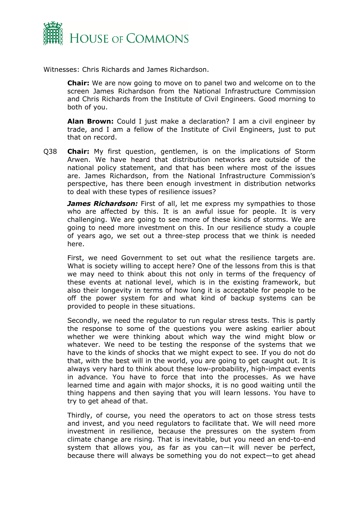

Witnesses: Chris Richards and James Richardson.

**Chair:** We are now going to move on to panel two and welcome on to the screen James Richardson from the National Infrastructure Commission and Chris Richards from the Institute of Civil Engineers. Good morning to both of you.

**Alan Brown:** Could I just make a declaration? I am a civil engineer by trade, and I am a fellow of the Institute of Civil Engineers, just to put that on record.

Q38 **Chair:** My first question, gentlemen, is on the implications of Storm Arwen. We have heard that distribution networks are outside of the national policy statement, and that has been where most of the issues are. James Richardson, from the National Infrastructure Commission's perspective, has there been enough investment in distribution networks to deal with these types of resilience issues?

*James Richardson:* First of all, let me express my sympathies to those who are affected by this. It is an awful issue for people. It is very challenging. We are going to see more of these kinds of storms. We are going to need more investment on this. In our resilience study a couple of years ago, we set out a three-step process that we think is needed here.

First, we need Government to set out what the resilience targets are. What is society willing to accept here? One of the lessons from this is that we may need to think about this not only in terms of the frequency of these events at national level, which is in the existing framework, but also their longevity in terms of how long it is acceptable for people to be off the power system for and what kind of backup systems can be provided to people in these situations.

Secondly, we need the regulator to run regular stress tests. This is partly the response to some of the questions you were asking earlier about whether we were thinking about which way the wind might blow or whatever. We need to be testing the response of the systems that we have to the kinds of shocks that we might expect to see. If you do not do that, with the best will in the world, you are going to get caught out. It is always very hard to think about these low-probability, high-impact events in advance. You have to force that into the processes. As we have learned time and again with major shocks, it is no good waiting until the thing happens and then saying that you will learn lessons. You have to try to get ahead of that.

Thirdly, of course, you need the operators to act on those stress tests and invest, and you need regulators to facilitate that. We will need more investment in resilience, because the pressures on the system from climate change are rising. That is inevitable, but you need an end-to-end system that allows you, as far as you can—it will never be perfect, because there will always be something you do not expect—to get ahead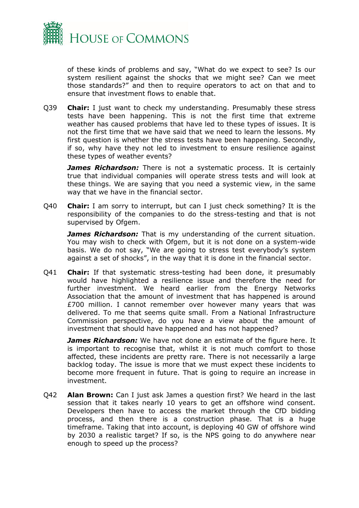

of these kinds of problems and say, "What do we expect to see? Is our system resilient against the shocks that we might see? Can we meet those standards?" and then to require operators to act on that and to ensure that investment flows to enable that.

Q39 **Chair:** I just want to check my understanding. Presumably these stress tests have been happening. This is not the first time that extreme weather has caused problems that have led to these types of issues. It is not the first time that we have said that we need to learn the lessons. My first question is whether the stress tests have been happening. Secondly, if so, why have they not led to investment to ensure resilience against these types of weather events?

*James Richardson:* There is not a systematic process. It is certainly true that individual companies will operate stress tests and will look at these things. We are saying that you need a systemic view, in the same way that we have in the financial sector.

Q40 **Chair:** I am sorry to interrupt, but can I just check something? It is the responsibility of the companies to do the stress-testing and that is not supervised by Ofgem.

*James Richardson:* That is my understanding of the current situation. You may wish to check with Ofgem, but it is not done on a system-wide basis. We do not say, "We are going to stress test everybody's system against a set of shocks", in the way that it is done in the financial sector.

Q41 **Chair:** If that systematic stress-testing had been done, it presumably would have highlighted a resilience issue and therefore the need for further investment. We heard earlier from the Energy Networks Association that the amount of investment that has happened is around £700 million. I cannot remember over however many years that was delivered. To me that seems quite small. From a National Infrastructure Commission perspective, do you have a view about the amount of investment that should have happened and has not happened?

*James Richardson:* We have not done an estimate of the figure here. It is important to recognise that, whilst it is not much comfort to those affected, these incidents are pretty rare. There is not necessarily a large backlog today. The issue is more that we must expect these incidents to become more frequent in future. That is going to require an increase in investment.

Q42 **Alan Brown:** Can I just ask James a question first? We heard in the last session that it takes nearly 10 years to get an offshore wind consent. Developers then have to access the market through the CfD bidding process, and then there is a construction phase. That is a huge timeframe. Taking that into account, is deploying 40 GW of offshore wind by 2030 a realistic target? If so, is the NPS going to do anywhere near enough to speed up the process?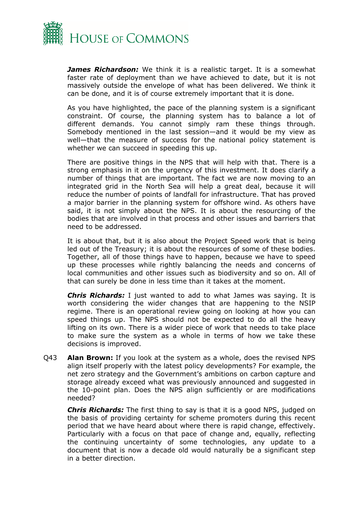

*James Richardson:* We think it is a realistic target. It is a somewhat faster rate of deployment than we have achieved to date, but it is not massively outside the envelope of what has been delivered. We think it can be done, and it is of course extremely important that it is done.

As you have highlighted, the pace of the planning system is a significant constraint. Of course, the planning system has to balance a lot of different demands. You cannot simply ram these things through. Somebody mentioned in the last session—and it would be my view as well—that the measure of success for the national policy statement is whether we can succeed in speeding this up.

There are positive things in the NPS that will help with that. There is a strong emphasis in it on the urgency of this investment. It does clarify a number of things that are important. The fact we are now moving to an integrated grid in the North Sea will help a great deal, because it will reduce the number of points of landfall for infrastructure. That has proved a major barrier in the planning system for offshore wind. As others have said, it is not simply about the NPS. It is about the resourcing of the bodies that are involved in that process and other issues and barriers that need to be addressed.

It is about that, but it is also about the Project Speed work that is being led out of the Treasury; it is about the resources of some of these bodies. Together, all of those things have to happen, because we have to speed up these processes while rightly balancing the needs and concerns of local communities and other issues such as biodiversity and so on. All of that can surely be done in less time than it takes at the moment.

*Chris Richards:* I just wanted to add to what James was saying. It is worth considering the wider changes that are happening to the NSIP regime. There is an operational review going on looking at how you can speed things up. The NPS should not be expected to do all the heavy lifting on its own. There is a wider piece of work that needs to take place to make sure the system as a whole in terms of how we take these decisions is improved.

Q43 **Alan Brown:** If you look at the system as a whole, does the revised NPS align itself properly with the latest policy developments? For example, the net zero strategy and the Government's ambitions on carbon capture and storage already exceed what was previously announced and suggested in the 10-point plan. Does the NPS align sufficiently or are modifications needed?

*Chris Richards:* The first thing to say is that it is a good NPS, judged on the basis of providing certainty for scheme promoters during this recent period that we have heard about where there is rapid change, effectively. Particularly with a focus on that pace of change and, equally, reflecting the continuing uncertainty of some technologies, any update to a document that is now a decade old would naturally be a significant step in a better direction.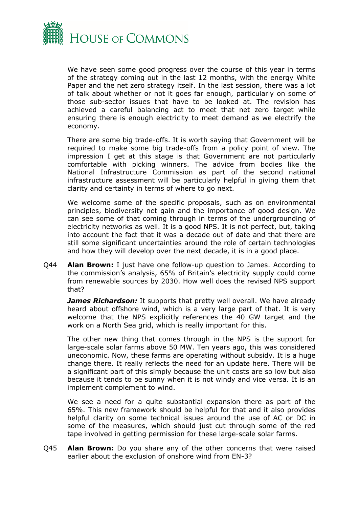

We have seen some good progress over the course of this year in terms of the strategy coming out in the last 12 months, with the energy White Paper and the net zero strategy itself. In the last session, there was a lot of talk about whether or not it goes far enough, particularly on some of those sub-sector issues that have to be looked at. The revision has achieved a careful balancing act to meet that net zero target while ensuring there is enough electricity to meet demand as we electrify the economy.

There are some big trade-offs. It is worth saying that Government will be required to make some big trade-offs from a policy point of view. The impression I get at this stage is that Government are not particularly comfortable with picking winners. The advice from bodies like the National Infrastructure Commission as part of the second national infrastructure assessment will be particularly helpful in giving them that clarity and certainty in terms of where to go next.

We welcome some of the specific proposals, such as on environmental principles, biodiversity net gain and the importance of good design. We can see some of that coming through in terms of the undergrounding of electricity networks as well. It is a good NPS. It is not perfect, but, taking into account the fact that it was a decade out of date and that there are still some significant uncertainties around the role of certain technologies and how they will develop over the next decade, it is in a good place.

Q44 **Alan Brown:** I just have one follow-up question to James. According to the commission's analysis, 65% of Britain's electricity supply could come from renewable sources by 2030. How well does the revised NPS support that?

**James Richardson:** It supports that pretty well overall. We have already heard about offshore wind, which is a very large part of that. It is very welcome that the NPS explicitly references the 40 GW target and the work on a North Sea grid, which is really important for this.

The other new thing that comes through in the NPS is the support for large-scale solar farms above 50 MW. Ten years ago, this was considered uneconomic. Now, these farms are operating without subsidy. It is a huge change there. It really reflects the need for an update here. There will be a significant part of this simply because the unit costs are so low but also because it tends to be sunny when it is not windy and vice versa. It is an implement complement to wind.

We see a need for a quite substantial expansion there as part of the 65%. This new framework should be helpful for that and it also provides helpful clarity on some technical issues around the use of AC or DC in some of the measures, which should just cut through some of the red tape involved in getting permission for these large-scale solar farms.

Q45 **Alan Brown:** Do you share any of the other concerns that were raised earlier about the exclusion of onshore wind from EN-3?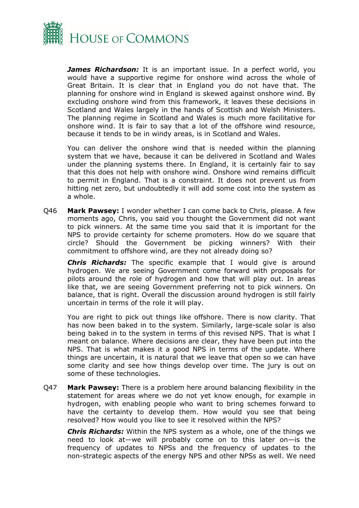

*James Richardson:* It is an important issue. In a perfect world, you would have a supportive regime for onshore wind across the whole of Great Britain. It is clear that in England you do not have that. The planning for onshore wind in England is skewed against onshore wind. By excluding onshore wind from this framework, it leaves these decisions in Scotland and Wales largely in the hands of Scottish and Welsh Ministers. The planning regime in Scotland and Wales is much more facilitative for onshore wind. It is fair to say that a lot of the offshore wind resource, because it tends to be in windy areas, is in Scotland and Wales.

You can deliver the onshore wind that is needed within the planning system that we have, because it can be delivered in Scotland and Wales under the planning systems there. In England, it is certainly fair to say that this does not help with onshore wind. Onshore wind remains difficult to permit in England. That is a constraint. It does not prevent us from hitting net zero, but undoubtedly it will add some cost into the system as a whole.

Q46 **Mark Pawsey:** I wonder whether I can come back to Chris, please. A few moments ago, Chris, you said you thought the Government did not want to pick winners. At the same time you said that it is important for the NPS to provide certainty for scheme promoters. How do we square that circle? Should the Government be picking winners? With their commitment to offshore wind, are they not already doing so?

*Chris Richards:* The specific example that I would give is around hydrogen. We are seeing Government come forward with proposals for pilots around the role of hydrogen and how that will play out. In areas like that, we are seeing Government preferring not to pick winners. On balance, that is right. Overall the discussion around hydrogen is still fairly uncertain in terms of the role it will play.

You are right to pick out things like offshore. There is now clarity. That has now been baked in to the system. Similarly, large-scale solar is also being baked in to the system in terms of this revised NPS. That is what I meant on balance. Where decisions are clear, they have been put into the NPS. That is what makes it a good NPS in terms of the update. Where things are uncertain, it is natural that we leave that open so we can have some clarity and see how things develop over time. The jury is out on some of these technologies.

Q47 **Mark Pawsey:** There is a problem here around balancing flexibility in the statement for areas where we do not yet know enough, for example in hydrogen, with enabling people who want to bring schemes forward to have the certainty to develop them. How would you see that being resolved? How would you like to see it resolved within the NPS?

*Chris Richards:* Within the NPS system as a whole, one of the things we need to look at—we will probably come on to this later on—is the frequency of updates to NPSs and the frequency of updates to the non-strategic aspects of the energy NPS and other NPSs as well. We need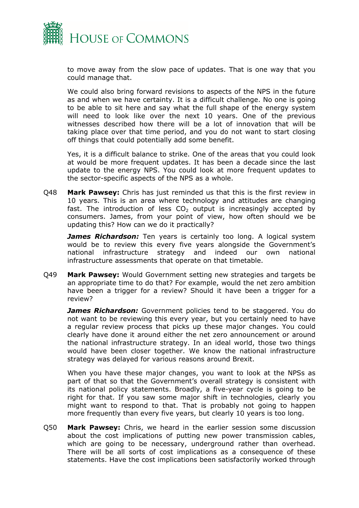

to move away from the slow pace of updates. That is one way that you could manage that.

We could also bring forward revisions to aspects of the NPS in the future as and when we have certainty. It is a difficult challenge. No one is going to be able to sit here and say what the full shape of the energy system will need to look like over the next 10 years. One of the previous witnesses described how there will be a lot of innovation that will be taking place over that time period, and you do not want to start closing off things that could potentially add some benefit.

Yes, it is a difficult balance to strike. One of the areas that you could look at would be more frequent updates. It has been a decade since the last update to the energy NPS. You could look at more frequent updates to the sector-specific aspects of the NPS as a whole.

Q48 **Mark Pawsey:** Chris has just reminded us that this is the first review in 10 years. This is an area where technology and attitudes are changing fast. The introduction of less  $CO<sub>2</sub>$  output is increasingly accepted by consumers. James, from your point of view, how often should we be updating this? How can we do it practically?

*James Richardson:* Ten years is certainly too long. A logical system would be to review this every five years alongside the Government's national infrastructure strategy and indeed our own national infrastructure assessments that operate on that timetable.

Q49 **Mark Pawsey:** Would Government setting new strategies and targets be an appropriate time to do that? For example, would the net zero ambition have been a trigger for a review? Should it have been a trigger for a review?

*James Richardson:* Government policies tend to be staggered. You do not want to be reviewing this every year, but you certainly need to have a regular review process that picks up these major changes. You could clearly have done it around either the net zero announcement or around the national infrastructure strategy. In an ideal world, those two things would have been closer together. We know the national infrastructure strategy was delayed for various reasons around Brexit.

When you have these major changes, you want to look at the NPSs as part of that so that the Government's overall strategy is consistent with its national policy statements. Broadly, a five-year cycle is going to be right for that. If you saw some major shift in technologies, clearly you might want to respond to that. That is probably not going to happen more frequently than every five years, but clearly 10 years is too long.

Q50 **Mark Pawsey:** Chris, we heard in the earlier session some discussion about the cost implications of putting new power transmission cables, which are going to be necessary, underground rather than overhead. There will be all sorts of cost implications as a consequence of these statements. Have the cost implications been satisfactorily worked through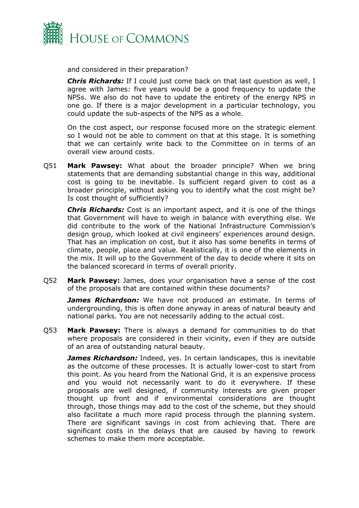

and considered in their preparation?

*Chris Richards:* If I could just come back on that last question as well, I agree with James: five years would be a good frequency to update the NPSs. We also do not have to update the entirety of the energy NPS in one go. If there is a major development in a particular technology, you could update the sub-aspects of the NPS as a whole.

On the cost aspect, our response focused more on the strategic element so I would not be able to comment on that at this stage. It is something that we can certainly write back to the Committee on in terms of an overall view around costs.

Q51 **Mark Pawsey:** What about the broader principle? When we bring statements that are demanding substantial change in this way, additional cost is going to be inevitable. Is sufficient regard given to cost as a broader principle, without asking you to identify what the cost might be? Is cost thought of sufficiently?

*Chris Richards:* Cost is an important aspect, and it is one of the things that Government will have to weigh in balance with everything else. We did contribute to the work of the National Infrastructure Commission's design group, which looked at civil engineers' experiences around design. That has an implication on cost, but it also has some benefits in terms of climate, people, place and value. Realistically, it is one of the elements in the mix. It will up to the Government of the day to decide where it sits on the balanced scorecard in terms of overall priority.

Q52 **Mark Pawsey:** James, does your organisation have a sense of the cost of the proposals that are contained within these documents?

**James Richardson:** We have not produced an estimate. In terms of undergrounding, this is often done anyway in areas of natural beauty and national parks. You are not necessarily adding to the actual cost.

Q53 **Mark Pawsey:** There is always a demand for communities to do that where proposals are considered in their vicinity, even if they are outside of an area of outstanding natural beauty.

*James Richardson:* Indeed, yes. In certain landscapes, this is inevitable as the outcome of these processes. It is actually lower-cost to start from this point. As you heard from the National Grid, it is an expensive process and you would not necessarily want to do it everywhere. If these proposals are well designed, if community interests are given proper thought up front and if environmental considerations are thought through, those things may add to the cost of the scheme, but they should also facilitate a much more rapid process through the planning system. There are significant savings in cost from achieving that. There are significant costs in the delays that are caused by having to rework schemes to make them more acceptable.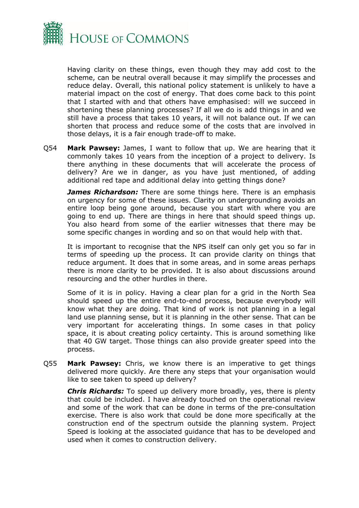

Having clarity on these things, even though they may add cost to the scheme, can be neutral overall because it may simplify the processes and reduce delay. Overall, this national policy statement is unlikely to have a material impact on the cost of energy. That does come back to this point that I started with and that others have emphasised: will we succeed in shortening these planning processes? If all we do is add things in and we still have a process that takes 10 years, it will not balance out. If we can shorten that process and reduce some of the costs that are involved in those delays, it is a fair enough trade-off to make.

Q54 **Mark Pawsey:** James, I want to follow that up. We are hearing that it commonly takes 10 years from the inception of a project to delivery. Is there anything in these documents that will accelerate the process of delivery? Are we in danger, as you have just mentioned, of adding additional red tape and additional delay into getting things done?

*James Richardson:* There are some things here. There is an emphasis on urgency for some of these issues. Clarity on undergrounding avoids an entire loop being gone around, because you start with where you are going to end up. There are things in here that should speed things up. You also heard from some of the earlier witnesses that there may be some specific changes in wording and so on that would help with that.

It is important to recognise that the NPS itself can only get you so far in terms of speeding up the process. It can provide clarity on things that reduce argument. It does that in some areas, and in some areas perhaps there is more clarity to be provided. It is also about discussions around resourcing and the other hurdles in there.

Some of it is in policy. Having a clear plan for a grid in the North Sea should speed up the entire end-to-end process, because everybody will know what they are doing. That kind of work is not planning in a legal land use planning sense, but it is planning in the other sense. That can be very important for accelerating things. In some cases in that policy space, it is about creating policy certainty. This is around something like that 40 GW target. Those things can also provide greater speed into the process.

Q55 **Mark Pawsey:** Chris, we know there is an imperative to get things delivered more quickly. Are there any steps that your organisation would like to see taken to speed up delivery?

*Chris Richards:* To speed up delivery more broadly, yes, there is plenty that could be included. I have already touched on the operational review and some of the work that can be done in terms of the pre-consultation exercise. There is also work that could be done more specifically at the construction end of the spectrum outside the planning system. Project Speed is looking at the associated guidance that has to be developed and used when it comes to construction delivery.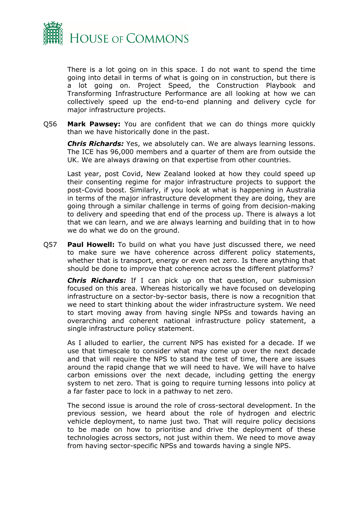

There is a lot going on in this space. I do not want to spend the time going into detail in terms of what is going on in construction, but there is a lot going on. Project Speed, the Construction Playbook and Transforming Infrastructure Performance are all looking at how we can collectively speed up the end-to-end planning and delivery cycle for major infrastructure projects.

Q56 **Mark Pawsey:** You are confident that we can do things more quickly than we have historically done in the past.

*Chris Richards:* Yes, we absolutely can. We are always learning lessons. The ICE has 96,000 members and a quarter of them are from outside the UK. We are always drawing on that expertise from other countries.

Last year, post Covid, New Zealand looked at how they could speed up their consenting regime for major infrastructure projects to support the post-Covid boost. Similarly, if you look at what is happening in Australia in terms of the major infrastructure development they are doing, they are going through a similar challenge in terms of going from decision-making to delivery and speeding that end of the process up. There is always a lot that we can learn, and we are always learning and building that in to how we do what we do on the ground.

Q57 **Paul Howell:** To build on what you have just discussed there, we need to make sure we have coherence across different policy statements, whether that is transport, energy or even net zero. Is there anything that should be done to improve that coherence across the different platforms?

*Chris Richards:* If I can pick up on that question, our submission focused on this area. Whereas historically we have focused on developing infrastructure on a sector-by-sector basis, there is now a recognition that we need to start thinking about the wider infrastructure system. We need to start moving away from having single NPSs and towards having an overarching and coherent national infrastructure policy statement, a single infrastructure policy statement.

As I alluded to earlier, the current NPS has existed for a decade. If we use that timescale to consider what may come up over the next decade and that will require the NPS to stand the test of time, there are issues around the rapid change that we will need to have. We will have to halve carbon emissions over the next decade, including getting the energy system to net zero. That is going to require turning lessons into policy at a far faster pace to lock in a pathway to net zero.

The second issue is around the role of cross-sectoral development. In the previous session, we heard about the role of hydrogen and electric vehicle deployment, to name just two. That will require policy decisions to be made on how to prioritise and drive the deployment of these technologies across sectors, not just within them. We need to move away from having sector-specific NPSs and towards having a single NPS.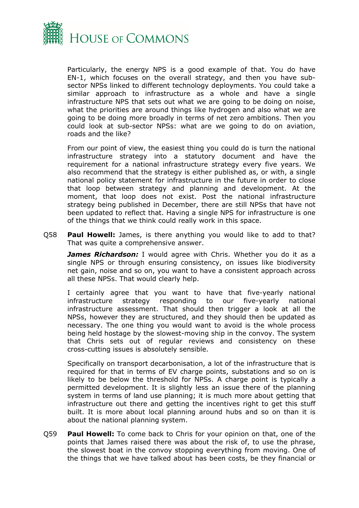

Particularly, the energy NPS is a good example of that. You do have EN-1, which focuses on the overall strategy, and then you have subsector NPSs linked to different technology deployments. You could take a similar approach to infrastructure as a whole and have a single infrastructure NPS that sets out what we are going to be doing on noise, what the priorities are around things like hydrogen and also what we are going to be doing more broadly in terms of net zero ambitions. Then you could look at sub-sector NPSs: what are we going to do on aviation, roads and the like?

From our point of view, the easiest thing you could do is turn the national infrastructure strategy into a statutory document and have the requirement for a national infrastructure strategy every five years. We also recommend that the strategy is either published as, or with, a single national policy statement for infrastructure in the future in order to close that loop between strategy and planning and development. At the moment, that loop does not exist. Post the national infrastructure strategy being published in December, there are still NPSs that have not been updated to reflect that. Having a single NPS for infrastructure is one of the things that we think could really work in this space.

Q58 **Paul Howell:** James, is there anything you would like to add to that? That was quite a comprehensive answer.

*James Richardson:* I would agree with Chris. Whether you do it as a single NPS or through ensuring consistency, on issues like biodiversity net gain, noise and so on, you want to have a consistent approach across all these NPSs. That would clearly help.

I certainly agree that you want to have that five-yearly national infrastructure strategy responding to our five-yearly national infrastructure assessment. That should then trigger a look at all the NPSs, however they are structured, and they should then be updated as necessary. The one thing you would want to avoid is the whole process being held hostage by the slowest-moving ship in the convoy. The system that Chris sets out of regular reviews and consistency on these cross-cutting issues is absolutely sensible.

Specifically on transport decarbonisation, a lot of the infrastructure that is required for that in terms of EV charge points, substations and so on is likely to be below the threshold for NPSs. A charge point is typically a permitted development. It is slightly less an issue there of the planning system in terms of land use planning; it is much more about getting that infrastructure out there and getting the incentives right to get this stuff built. It is more about local planning around hubs and so on than it is about the national planning system.

Q59 **Paul Howell:** To come back to Chris for your opinion on that, one of the points that James raised there was about the risk of, to use the phrase, the slowest boat in the convoy stopping everything from moving. One of the things that we have talked about has been costs, be they financial or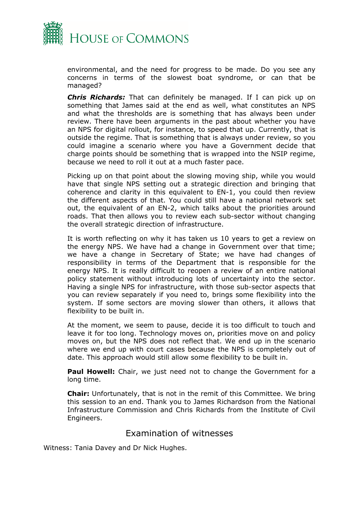

environmental, and the need for progress to be made. Do you see any concerns in terms of the slowest boat syndrome, or can that be managed?

*Chris Richards:* That can definitely be managed. If I can pick up on something that James said at the end as well, what constitutes an NPS and what the thresholds are is something that has always been under review. There have been arguments in the past about whether you have an NPS for digital rollout, for instance, to speed that up. Currently, that is outside the regime. That is something that is always under review, so you could imagine a scenario where you have a Government decide that charge points should be something that is wrapped into the NSIP regime, because we need to roll it out at a much faster pace.

Picking up on that point about the slowing moving ship, while you would have that single NPS setting out a strategic direction and bringing that coherence and clarity in this equivalent to EN-1, you could then review the different aspects of that. You could still have a national network set out, the equivalent of an EN-2, which talks about the priorities around roads. That then allows you to review each sub-sector without changing the overall strategic direction of infrastructure.

It is worth reflecting on why it has taken us 10 years to get a review on the energy NPS. We have had a change in Government over that time; we have a change in Secretary of State; we have had changes of responsibility in terms of the Department that is responsible for the energy NPS. It is really difficult to reopen a review of an entire national policy statement without introducing lots of uncertainty into the sector. Having a single NPS for infrastructure, with those sub-sector aspects that you can review separately if you need to, brings some flexibility into the system. If some sectors are moving slower than others, it allows that flexibility to be built in.

At the moment, we seem to pause, decide it is too difficult to touch and leave it for too long. Technology moves on, priorities move on and policy moves on, but the NPS does not reflect that. We end up in the scenario where we end up with court cases because the NPS is completely out of date. This approach would still allow some flexibility to be built in.

**Paul Howell:** Chair, we just need not to change the Government for a long time.

**Chair:** Unfortunately, that is not in the remit of this Committee. We bring this session to an end. Thank you to James Richardson from the National Infrastructure Commission and Chris Richards from the Institute of Civil Engineers.

#### <span id="page-30-0"></span>Examination of witnesses

Witness: Tania Davey and Dr Nick Hughes.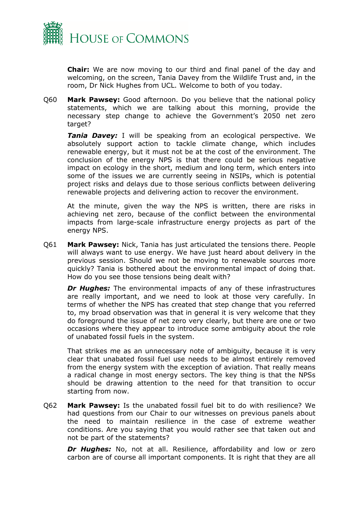

**Chair:** We are now moving to our third and final panel of the day and welcoming, on the screen, Tania Davey from the Wildlife Trust and, in the room, Dr Nick Hughes from UCL. Welcome to both of you today.

Q60 **Mark Pawsey:** Good afternoon. Do you believe that the national policy statements, which we are talking about this morning, provide the necessary step change to achieve the Government's 2050 net zero target?

*Tania Davey:* I will be speaking from an ecological perspective. We absolutely support action to tackle climate change, which includes renewable energy, but it must not be at the cost of the environment. The conclusion of the energy NPS is that there could be serious negative impact on ecology in the short, medium and long term, which enters into some of the issues we are currently seeing in NSIPs, which is potential project risks and delays due to those serious conflicts between delivering renewable projects and delivering action to recover the environment.

At the minute, given the way the NPS is written, there are risks in achieving net zero, because of the conflict between the environmental impacts from large-scale infrastructure energy projects as part of the energy NPS.

Q61 **Mark Pawsey:** Nick, Tania has just articulated the tensions there. People will always want to use energy. We have just heard about delivery in the previous session. Should we not be moving to renewable sources more quickly? Tania is bothered about the environmental impact of doing that. How do you see those tensions being dealt with?

*Dr Hughes:* The environmental impacts of any of these infrastructures are really important, and we need to look at those very carefully. In terms of whether the NPS has created that step change that you referred to, my broad observation was that in general it is very welcome that they do foreground the issue of net zero very clearly, but there are one or two occasions where they appear to introduce some ambiguity about the role of unabated fossil fuels in the system.

That strikes me as an unnecessary note of ambiguity, because it is very clear that unabated fossil fuel use needs to be almost entirely removed from the energy system with the exception of aviation. That really means a radical change in most energy sectors. The key thing is that the NPSs should be drawing attention to the need for that transition to occur starting from now.

Q62 **Mark Pawsey:** Is the unabated fossil fuel bit to do with resilience? We had questions from our Chair to our witnesses on previous panels about the need to maintain resilience in the case of extreme weather conditions. Are you saying that you would rather see that taken out and not be part of the statements?

*Dr Hughes:* No, not at all. Resilience, affordability and low or zero carbon are of course all important components. It is right that they are all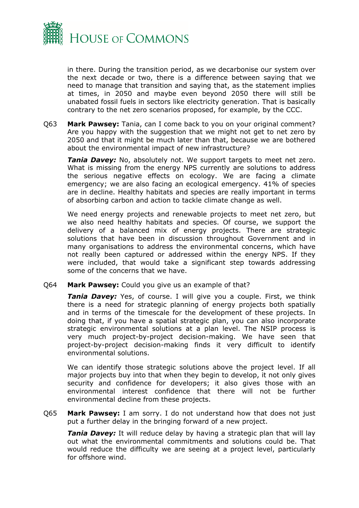

in there. During the transition period, as we decarbonise our system over the next decade or two, there is a difference between saying that we need to manage that transition and saying that, as the statement implies at times, in 2050 and maybe even beyond 2050 there will still be unabated fossil fuels in sectors like electricity generation. That is basically contrary to the net zero scenarios proposed, for example, by the CCC.

Q63 **Mark Pawsey:** Tania, can I come back to you on your original comment? Are you happy with the suggestion that we might not get to net zero by 2050 and that it might be much later than that, because we are bothered about the environmental impact of new infrastructure?

*Tania Davey:* No, absolutely not. We support targets to meet net zero. What is missing from the energy NPS currently are solutions to address the serious negative effects on ecology. We are facing a climate emergency; we are also facing an ecological emergency. 41% of species are in decline. Healthy habitats and species are really important in terms of absorbing carbon and action to tackle climate change as well.

We need energy projects and renewable projects to meet net zero, but we also need healthy habitats and species. Of course, we support the delivery of a balanced mix of energy projects. There are strategic solutions that have been in discussion throughout Government and in many organisations to address the environmental concerns, which have not really been captured or addressed within the energy NPS. If they were included, that would take a significant step towards addressing some of the concerns that we have.

Q64 **Mark Pawsey:** Could you give us an example of that?

**Tania Davey:** Yes, of course. I will give you a couple. First, we think there is a need for strategic planning of energy projects both spatially and in terms of the timescale for the development of these projects. In doing that, if you have a spatial strategic plan, you can also incorporate strategic environmental solutions at a plan level. The NSIP process is very much project-by-project decision-making. We have seen that project-by-project decision-making finds it very difficult to identify environmental solutions.

We can identify those strategic solutions above the project level. If all major projects buy into that when they begin to develop, it not only gives security and confidence for developers; it also gives those with an environmental interest confidence that there will not be further environmental decline from these projects.

Q65 **Mark Pawsey:** I am sorry. I do not understand how that does not just put a further delay in the bringing forward of a new project.

*Tania Davey:* It will reduce delay by having a strategic plan that will lay out what the environmental commitments and solutions could be. That would reduce the difficulty we are seeing at a project level, particularly for offshore wind.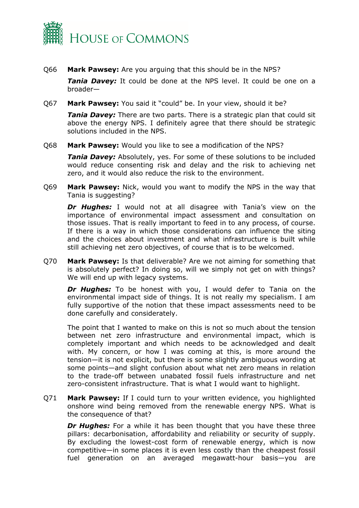

Q66 **Mark Pawsey:** Are you arguing that this should be in the NPS?

*Tania Davey:* It could be done at the NPS level. It could be one on a broader—

Q67 **Mark Pawsey:** You said it "could" be. In your view, should it be?

**Tania Davey:** There are two parts. There is a strategic plan that could sit above the energy NPS. I definitely agree that there should be strategic solutions included in the NPS.

Q68 **Mark Pawsey:** Would you like to see a modification of the NPS?

*Tania Davey:* Absolutely, yes. For some of these solutions to be included would reduce consenting risk and delay and the risk to achieving net zero, and it would also reduce the risk to the environment.

Q69 **Mark Pawsey:** Nick, would you want to modify the NPS in the way that Tania is suggesting?

*Dr Hughes:* I would not at all disagree with Tania's view on the importance of environmental impact assessment and consultation on those issues. That is really important to feed in to any process, of course. If there is a way in which those considerations can influence the siting and the choices about investment and what infrastructure is built while still achieving net zero objectives, of course that is to be welcomed.

Q70 **Mark Pawsey:** Is that deliverable? Are we not aiming for something that is absolutely perfect? In doing so, will we simply not get on with things? We will end up with legacy systems.

*Dr Hughes:* To be honest with you, I would defer to Tania on the environmental impact side of things. It is not really my specialism. I am fully supportive of the notion that these impact assessments need to be done carefully and considerately.

The point that I wanted to make on this is not so much about the tension between net zero infrastructure and environmental impact, which is completely important and which needs to be acknowledged and dealt with. My concern, or how I was coming at this, is more around the tension—it is not explicit, but there is some slightly ambiguous wording at some points—and slight confusion about what net zero means in relation to the trade-off between unabated fossil fuels infrastructure and net zero-consistent infrastructure. That is what I would want to highlight.

Q71 **Mark Pawsey:** If I could turn to your written evidence, you highlighted onshore wind being removed from the renewable energy NPS. What is the consequence of that?

*Dr Hughes:* For a while it has been thought that you have these three pillars: decarbonisation, affordability and reliability or security of supply. By excluding the lowest-cost form of renewable energy, which is now competitive—in some places it is even less costly than the cheapest fossil fuel generation on an averaged megawatt-hour basis—you are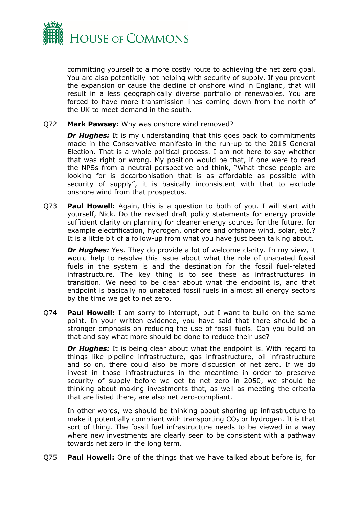

committing yourself to a more costly route to achieving the net zero goal. You are also potentially not helping with security of supply. If you prevent the expansion or cause the decline of onshore wind in England, that will result in a less geographically diverse portfolio of renewables. You are forced to have more transmission lines coming down from the north of the UK to meet demand in the south.

Q72 **Mark Pawsey:** Why was onshore wind removed?

**Dr Hughes:** It is my understanding that this goes back to commitments made in the Conservative manifesto in the run-up to the 2015 General Election. That is a whole political process. I am not here to say whether that was right or wrong. My position would be that, if one were to read the NPSs from a neutral perspective and think, "What these people are looking for is decarbonisation that is as affordable as possible with security of supply", it is basically inconsistent with that to exclude onshore wind from that prospectus.

Q73 **Paul Howell:** Again, this is a question to both of you. I will start with yourself, Nick. Do the revised draft policy statements for energy provide sufficient clarity on planning for cleaner energy sources for the future, for example electrification, hydrogen, onshore and offshore wind, solar, etc.? It is a little bit of a follow-up from what you have just been talking about.

*Dr Hughes:* Yes. They do provide a lot of welcome clarity. In my view, it would help to resolve this issue about what the role of unabated fossil fuels in the system is and the destination for the fossil fuel-related infrastructure. The key thing is to see these as infrastructures in transition. We need to be clear about what the endpoint is, and that endpoint is basically no unabated fossil fuels in almost all energy sectors by the time we get to net zero.

Q74 **Paul Howell:** I am sorry to interrupt, but I want to build on the same point. In your written evidence, you have said that there should be a stronger emphasis on reducing the use of fossil fuels. Can you build on that and say what more should be done to reduce their use?

*Dr Hughes:* It is being clear about what the endpoint is. With regard to things like pipeline infrastructure, gas infrastructure, oil infrastructure and so on, there could also be more discussion of net zero. If we do invest in those infrastructures in the meantime in order to preserve security of supply before we get to net zero in 2050, we should be thinking about making investments that, as well as meeting the criteria that are listed there, are also net zero-compliant.

In other words, we should be thinking about shoring up infrastructure to make it potentially compliant with transporting  $CO<sub>2</sub>$  or hydrogen. It is that sort of thing. The fossil fuel infrastructure needs to be viewed in a way where new investments are clearly seen to be consistent with a pathway towards net zero in the long term.

Q75 **Paul Howell:** One of the things that we have talked about before is, for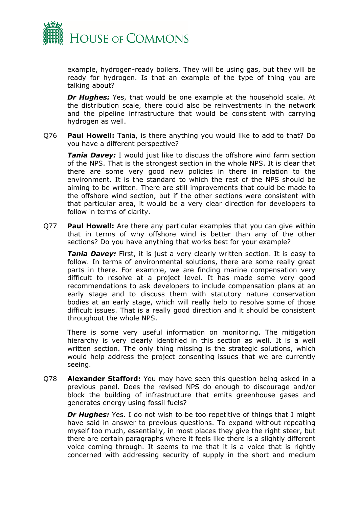

example, hydrogen-ready boilers. They will be using gas, but they will be ready for hydrogen. Is that an example of the type of thing you are talking about?

*Dr Hughes:* Yes, that would be one example at the household scale. At the distribution scale, there could also be reinvestments in the network and the pipeline infrastructure that would be consistent with carrying hydrogen as well.

Q76 **Paul Howell:** Tania, is there anything you would like to add to that? Do you have a different perspective?

*Tania Davey:* I would just like to discuss the offshore wind farm section of the NPS. That is the strongest section in the whole NPS. It is clear that there are some very good new policies in there in relation to the environment. It is the standard to which the rest of the NPS should be aiming to be written. There are still improvements that could be made to the offshore wind section, but if the other sections were consistent with that particular area, it would be a very clear direction for developers to follow in terms of clarity.

Q77 **Paul Howell:** Are there any particular examples that you can give within that in terms of why offshore wind is better than any of the other sections? Do you have anything that works best for your example?

*Tania Davey:* First, it is just a very clearly written section. It is easy to follow. In terms of environmental solutions, there are some really great parts in there. For example, we are finding marine compensation very difficult to resolve at a project level. It has made some very good recommendations to ask developers to include compensation plans at an early stage and to discuss them with statutory nature conservation bodies at an early stage, which will really help to resolve some of those difficult issues. That is a really good direction and it should be consistent throughout the whole NPS.

There is some very useful information on monitoring. The mitigation hierarchy is very clearly identified in this section as well. It is a well written section. The only thing missing is the strategic solutions, which would help address the project consenting issues that we are currently seeing.

Q78 **Alexander Stafford:** You may have seen this question being asked in a previous panel. Does the revised NPS do enough to discourage and/or block the building of infrastructure that emits greenhouse gases and generates energy using fossil fuels?

*Dr Hughes:* Yes. I do not wish to be too repetitive of things that I might have said in answer to previous questions. To expand without repeating myself too much, essentially, in most places they give the right steer, but there are certain paragraphs where it feels like there is a slightly different voice coming through. It seems to me that it is a voice that is rightly concerned with addressing security of supply in the short and medium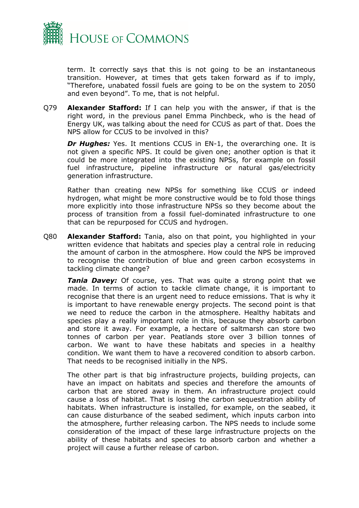

term. It correctly says that this is not going to be an instantaneous transition. However, at times that gets taken forward as if to imply, "Therefore, unabated fossil fuels are going to be on the system to 2050 and even beyond". To me, that is not helpful.

Q79 **Alexander Stafford:** If I can help you with the answer, if that is the right word, in the previous panel Emma Pinchbeck, who is the head of Energy UK, was talking about the need for CCUS as part of that. Does the NPS allow for CCUS to be involved in this?

*Dr Hughes:* Yes. It mentions CCUS in EN-1, the overarching one. It is not given a specific NPS. It could be given one; another option is that it could be more integrated into the existing NPSs, for example on fossil fuel infrastructure, pipeline infrastructure or natural gas/electricity generation infrastructure.

Rather than creating new NPSs for something like CCUS or indeed hydrogen, what might be more constructive would be to fold those things more explicitly into those infrastructure NPSs so they become about the process of transition from a fossil fuel-dominated infrastructure to one that can be repurposed for CCUS and hydrogen.

Q80 **Alexander Stafford:** Tania, also on that point, you highlighted in your written evidence that habitats and species play a central role in reducing the amount of carbon in the atmosphere. How could the NPS be improved to recognise the contribution of blue and green carbon ecosystems in tackling climate change?

*Tania Davey:* Of course, yes. That was quite a strong point that we made. In terms of action to tackle climate change, it is important to recognise that there is an urgent need to reduce emissions. That is why it is important to have renewable energy projects. The second point is that we need to reduce the carbon in the atmosphere. Healthy habitats and species play a really important role in this, because they absorb carbon and store it away. For example, a hectare of saltmarsh can store two tonnes of carbon per year. Peatlands store over 3 billion tonnes of carbon. We want to have these habitats and species in a healthy condition. We want them to have a recovered condition to absorb carbon. That needs to be recognised initially in the NPS.

The other part is that big infrastructure projects, building projects, can have an impact on habitats and species and therefore the amounts of carbon that are stored away in them. An infrastructure project could cause a loss of habitat. That is losing the carbon sequestration ability of habitats. When infrastructure is installed, for example, on the seabed, it can cause disturbance of the seabed sediment, which inputs carbon into the atmosphere, further releasing carbon. The NPS needs to include some consideration of the impact of these large infrastructure projects on the ability of these habitats and species to absorb carbon and whether a project will cause a further release of carbon.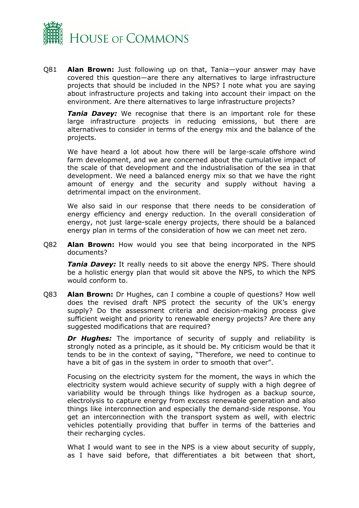

Q81 **Alan Brown:** Just following up on that, Tania—your answer may have covered this question—are there any alternatives to large infrastructure projects that should be included in the NPS? I note what you are saying about infrastructure projects and taking into account their impact on the environment. Are there alternatives to large infrastructure projects?

*Tania Davey:* We recognise that there is an important role for these large infrastructure projects in reducing emissions, but there are alternatives to consider in terms of the energy mix and the balance of the projects.

We have heard a lot about how there will be large-scale offshore wind farm development, and we are concerned about the cumulative impact of the scale of that development and the industrialisation of the sea in that development. We need a balanced energy mix so that we have the right amount of energy and the security and supply without having a detrimental impact on the environment.

We also said in our response that there needs to be consideration of energy efficiency and energy reduction. In the overall consideration of energy, not just large-scale energy projects, there should be a balanced energy plan in terms of the consideration of how we can meet net zero.

Q82 **Alan Brown:** How would you see that being incorporated in the NPS documents?

*Tania Davey:* It really needs to sit above the energy NPS. There should be a holistic energy plan that would sit above the NPS, to which the NPS would conform to.

Q83 **Alan Brown:** Dr Hughes, can I combine a couple of questions? How well does the revised draft NPS protect the security of the UK's energy supply? Do the assessment criteria and decision-making process give sufficient weight and priority to renewable energy projects? Are there any suggested modifications that are required?

**Dr Hughes:** The importance of security of supply and reliability is strongly noted as a principle, as it should be. My criticism would be that it tends to be in the context of saying, "Therefore, we need to continue to have a bit of gas in the system in order to smooth that over".

Focusing on the electricity system for the moment, the ways in which the electricity system would achieve security of supply with a high degree of variability would be through things like hydrogen as a backup source, electrolysis to capture energy from excess renewable generation and also things like interconnection and especially the demand-side response. You get an interconnection with the transport system as well, with electric vehicles potentially providing that buffer in terms of the batteries and their recharging cycles.

What I would want to see in the NPS is a view about security of supply, as I have said before, that differentiates a bit between that short,